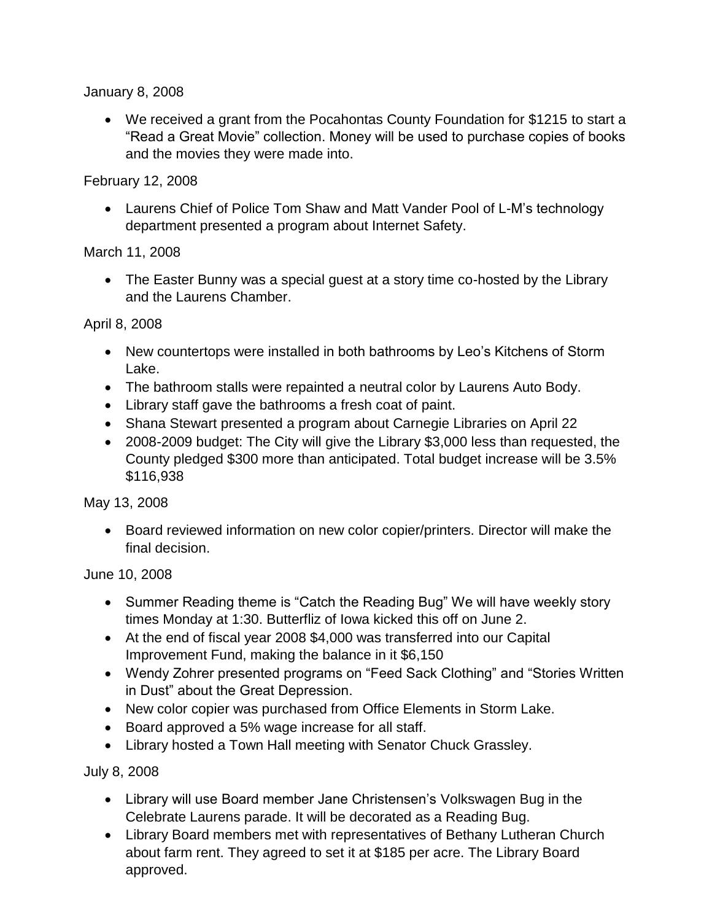January 8, 2008

 We received a grant from the Pocahontas County Foundation for \$1215 to start a "Read a Great Movie" collection. Money will be used to purchase copies of books and the movies they were made into.

February 12, 2008

 Laurens Chief of Police Tom Shaw and Matt Vander Pool of L-M's technology department presented a program about Internet Safety.

March 11, 2008

• The Easter Bunny was a special guest at a story time co-hosted by the Library and the Laurens Chamber.

April 8, 2008

- New countertops were installed in both bathrooms by Leo's Kitchens of Storm Lake.
- The bathroom stalls were repainted a neutral color by Laurens Auto Body.
- Library staff gave the bathrooms a fresh coat of paint.
- Shana Stewart presented a program about Carnegie Libraries on April 22
- 2008-2009 budget: The City will give the Library \$3,000 less than requested, the County pledged \$300 more than anticipated. Total budget increase will be 3.5% \$116,938

May 13, 2008

 Board reviewed information on new color copier/printers. Director will make the final decision.

June 10, 2008

- Summer Reading theme is "Catch the Reading Bug" We will have weekly story times Monday at 1:30. Butterfliz of Iowa kicked this off on June 2.
- At the end of fiscal year 2008 \$4,000 was transferred into our Capital Improvement Fund, making the balance in it \$6,150
- Wendy Zohrer presented programs on "Feed Sack Clothing" and "Stories Written in Dust" about the Great Depression.
- New color copier was purchased from Office Elements in Storm Lake.
- Board approved a 5% wage increase for all staff.
- Library hosted a Town Hall meeting with Senator Chuck Grassley.

July 8, 2008

- Library will use Board member Jane Christensen's Volkswagen Bug in the Celebrate Laurens parade. It will be decorated as a Reading Bug.
- Library Board members met with representatives of Bethany Lutheran Church about farm rent. They agreed to set it at \$185 per acre. The Library Board approved.